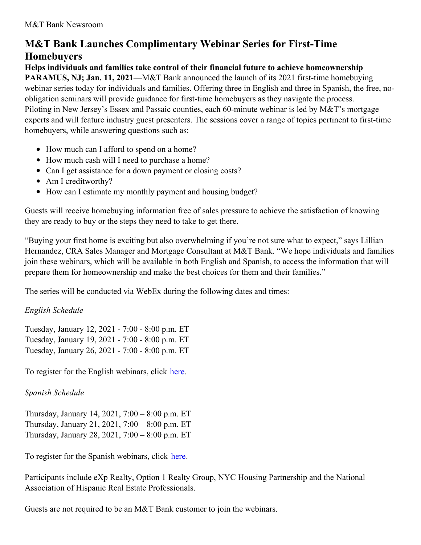# **M&T Bank Launches Complimentary Webinar Series for First-Time Homebuyers**

**Helps individuals and families take control of their financial future to achieve homeownership PARAMUS, NJ; Jan. 11, 2021**—M&T Bank announced the launch of its 2021 first-time homebuying webinar series today for individuals and families. Offering three in English and three in Spanish, the free, noobligation seminars will provide guidance for first-time homebuyers as they navigate the process. Piloting in New Jersey's Essex and Passaic counties, each 60-minute webinar is led by M&T's mortgage experts and will feature industry guest presenters. The sessions cover a range of topics pertinent to first-time homebuyers, while answering questions such as:

- How much can I afford to spend on a home?
- How much cash will I need to purchase a home?
- Can I get assistance for a down payment or closing costs?
- Am I creditworthy?
- How can I estimate my monthly payment and housing budget?

Guests will receive homebuying information free of sales pressure to achieve the satisfaction of knowing they are ready to buy or the steps they need to take to get there.

"Buying your first home is exciting but also overwhelming if you're not sure what to expect," says Lillian Hernandez, CRA Sales Manager and Mortgage Consultant at M&T Bank. "We hope individuals and families join these webinars, which will be available in both English and Spanish, to access the information that will prepare them for homeownership and make the best choices for them and their families."

The series will be conducted via WebEx during the following dates and times:

## *English Schedule*

Tuesday, January 12, 2021 - 7:00 - 8:00 p.m. ET Tuesday, January 19, 2021 - 7:00 - 8:00 p.m. ET Tuesday, January 26, 2021 - 7:00 - 8:00 p.m. ET

To register for the English webinars, click [here](https://fs20.formsite.com/mtbmortgage/jkujcmpgvd/index.html).

## *Spanish Schedule*

Thursday, January 14, 2021, 7:00 – 8:00 p.m. ET Thursday, January 21, 2021, 7:00 – 8:00 p.m. ET Thursday, January 28, 2021, 7:00 – 8:00 p.m. ET

To register for the Spanish webinars, click [here](https://fs20.formsite.com/mtbmortgage/pu4vpq2kjl/index.html).

Participants include eXp Realty, Option 1 Realty Group, NYC Housing Partnership and the National Association of Hispanic Real Estate Professionals.

Guests are not required to be an M&T Bank customer to join the webinars.